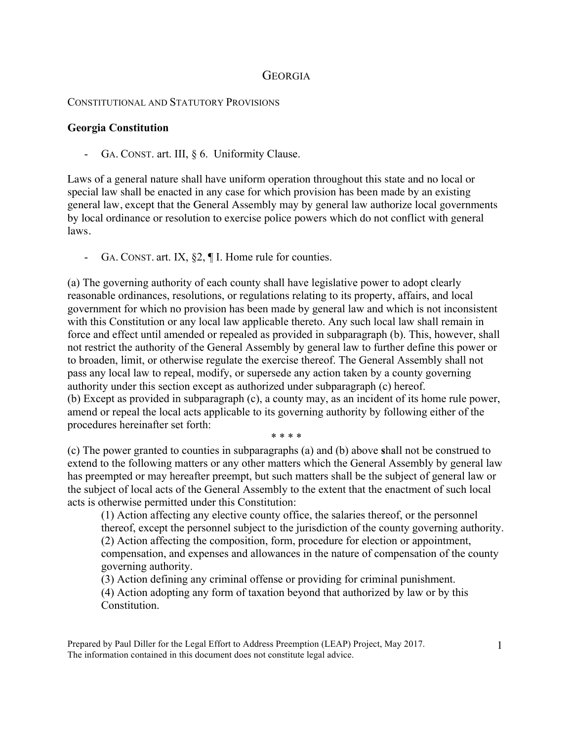# **GEORGIA**

### CONSTITUTIONAL AND STATUTORY PROVISIONS

### **Georgia Constitution**

- GA. CONST. art. III, § 6. Uniformity Clause.

Laws of a general nature shall have uniform operation throughout this state and no local or special law shall be enacted in any case for which provision has been made by an existing general law, except that the General Assembly may by general law authorize local governments by local ordinance or resolution to exercise police powers which do not conflict with general laws.

- GA. CONST. art. IX, §2, ¶ I. Home rule for counties.

(a) The governing authority of each county shall have legislative power to adopt clearly reasonable ordinances, resolutions, or regulations relating to its property, affairs, and local government for which no provision has been made by general law and which is not inconsistent with this Constitution or any local law applicable thereto. Any such local law shall remain in force and effect until amended or repealed as provided in subparagraph (b). This, however, shall not restrict the authority of the General Assembly by general law to further define this power or to broaden, limit, or otherwise regulate the exercise thereof. The General Assembly shall not pass any local law to repeal, modify, or supersede any action taken by a county governing authority under this section except as authorized under subparagraph (c) hereof. (b) Except as provided in subparagraph (c), a county may, as an incident of its home rule power, amend or repeal the local acts applicable to its governing authority by following either of the procedures hereinafter set forth:

#### \* \* \* \*

(c) The power granted to counties in subparagraphs (a) and (b) above **s**hall not be construed to extend to the following matters or any other matters which the General Assembly by general law has preempted or may hereafter preempt, but such matters shall be the subject of general law or the subject of local acts of the General Assembly to the extent that the enactment of such local acts is otherwise permitted under this Constitution:

(1) Action affecting any elective county office, the salaries thereof, or the personnel thereof, except the personnel subject to the jurisdiction of the county governing authority. (2) Action affecting the composition, form, procedure for election or appointment, compensation, and expenses and allowances in the nature of compensation of the county governing authority.

(3) Action defining any criminal offense or providing for criminal punishment.

(4) Action adopting any form of taxation beyond that authorized by law or by this Constitution.

Prepared by Paul Diller for the Legal Effort to Address Preemption (LEAP) Project, May 2017. The information contained in this document does not constitute legal advice.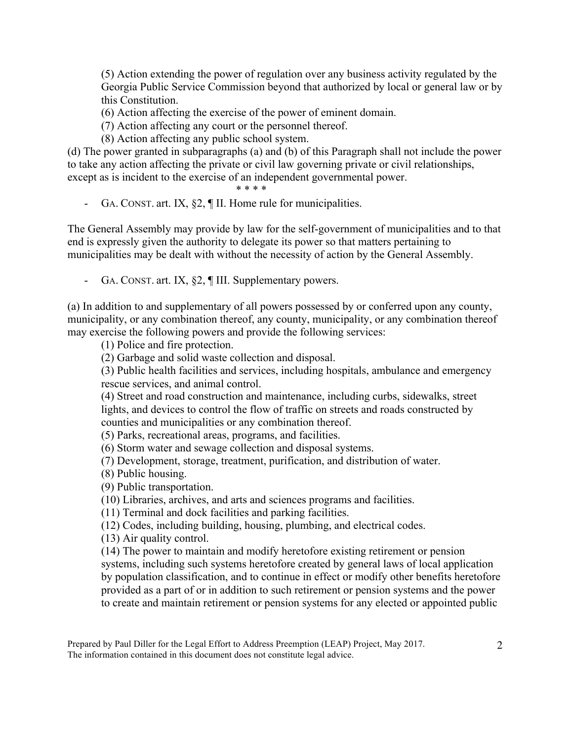(5) Action extending the power of regulation over any business activity regulated by the Georgia Public Service Commission beyond that authorized by local or general law or by this Constitution.

(6) Action affecting the exercise of the power of eminent domain.

(7) Action affecting any court or the personnel thereof.

(8) Action affecting any public school system.

(d) The power granted in subparagraphs (a) and (b) of this Paragraph shall not include the power to take any action affecting the private or civil law governing private or civil relationships, except as is incident to the exercise of an independent governmental power.

\* \* \* \*

- GA. CONST. art. IX, §2, ¶ II. Home rule for municipalities.

The General Assembly may provide by law for the self-government of municipalities and to that end is expressly given the authority to delegate its power so that matters pertaining to municipalities may be dealt with without the necessity of action by the General Assembly.

GA. CONST. art. IX, §2, ¶ III. Supplementary powers.

(a) In addition to and supplementary of all powers possessed by or conferred upon any county, municipality, or any combination thereof, any county, municipality, or any combination thereof may exercise the following powers and provide the following services:

(1) Police and fire protection.

(2) Garbage and solid waste collection and disposal.

(3) Public health facilities and services, including hospitals, ambulance and emergency rescue services, and animal control.

(4) Street and road construction and maintenance, including curbs, sidewalks, street lights, and devices to control the flow of traffic on streets and roads constructed by counties and municipalities or any combination thereof.

(5) Parks, recreational areas, programs, and facilities.

(6) Storm water and sewage collection and disposal systems.

(7) Development, storage, treatment, purification, and distribution of water.

(8) Public housing.

(9) Public transportation.

(10) Libraries, archives, and arts and sciences programs and facilities.

(11) Terminal and dock facilities and parking facilities.

(12) Codes, including building, housing, plumbing, and electrical codes.

(13) Air quality control.

(14) The power to maintain and modify heretofore existing retirement or pension systems, including such systems heretofore created by general laws of local application by population classification, and to continue in effect or modify other benefits heretofore provided as a part of or in addition to such retirement or pension systems and the power to create and maintain retirement or pension systems for any elected or appointed public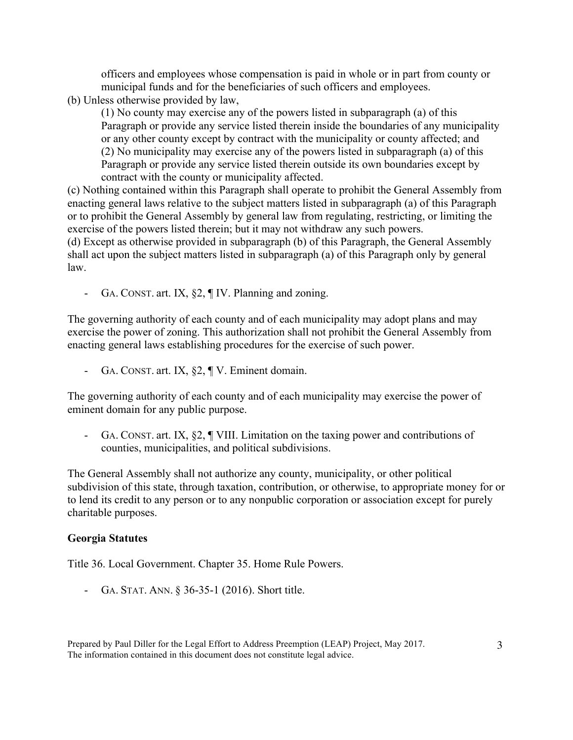officers and employees whose compensation is paid in whole or in part from county or municipal funds and for the beneficiaries of such officers and employees.

(b) Unless otherwise provided by law,

(1) No county may exercise any of the powers listed in subparagraph (a) of this Paragraph or provide any service listed therein inside the boundaries of any municipality or any other county except by contract with the municipality or county affected; and (2) No municipality may exercise any of the powers listed in subparagraph (a) of this Paragraph or provide any service listed therein outside its own boundaries except by contract with the county or municipality affected.

(c) Nothing contained within this Paragraph shall operate to prohibit the General Assembly from enacting general laws relative to the subject matters listed in subparagraph (a) of this Paragraph or to prohibit the General Assembly by general law from regulating, restricting, or limiting the exercise of the powers listed therein; but it may not withdraw any such powers.

(d) Except as otherwise provided in subparagraph (b) of this Paragraph, the General Assembly shall act upon the subject matters listed in subparagraph (a) of this Paragraph only by general law.

- GA. CONST. art. IX, §2, ¶ IV. Planning and zoning.

The governing authority of each county and of each municipality may adopt plans and may exercise the power of zoning. This authorization shall not prohibit the General Assembly from enacting general laws establishing procedures for the exercise of such power.

- GA. CONST. art. IX, §2, ¶ V. Eminent domain.

The governing authority of each county and of each municipality may exercise the power of eminent domain for any public purpose.

- GA. CONST. art. IX, §2, ¶ VIII. Limitation on the taxing power and contributions of counties, municipalities, and political subdivisions.

The General Assembly shall not authorize any county, municipality, or other political subdivision of this state, through taxation, contribution, or otherwise, to appropriate money for or to lend its credit to any person or to any nonpublic corporation or association except for purely charitable purposes.

# **Georgia Statutes**

Title 36. Local Government. Chapter 35. Home Rule Powers.

- GA. STAT. ANN. § 36-35-1 (2016). Short title.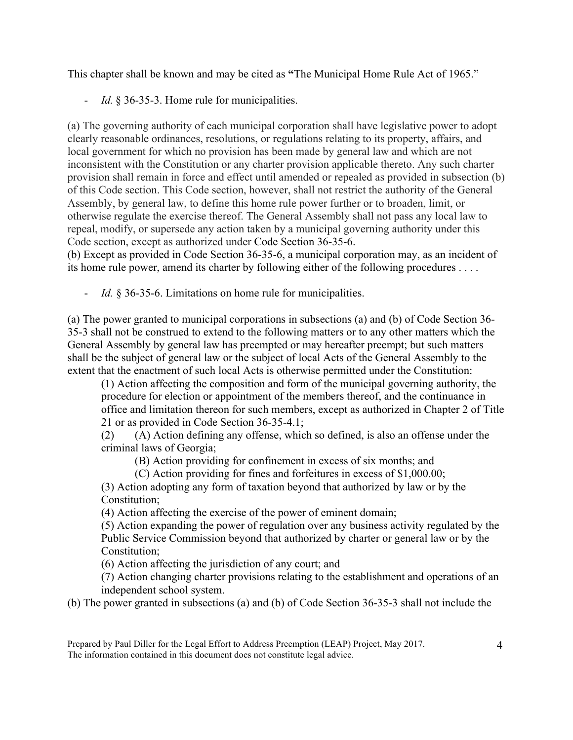This chapter shall be known and may be cited as **"**The Municipal Home Rule Act of 1965."

- *Id.* § 36-35-3. Home rule for municipalities.

(a) The governing authority of each municipal corporation shall have legislative power to adopt clearly reasonable ordinances, resolutions, or regulations relating to its property, affairs, and local government for which no provision has been made by general law and which are not inconsistent with the Constitution or any charter provision applicable thereto. Any such charter provision shall remain in force and effect until amended or repealed as provided in subsection (b) of this Code section. This Code section, however, shall not restrict the authority of the General Assembly, by general law, to define this home rule power further or to broaden, limit, or otherwise regulate the exercise thereof. The General Assembly shall not pass any local law to repeal, modify, or supersede any action taken by a municipal governing authority under this Code section, except as authorized under Code Section 36-35-6.

(b) Except as provided in Code Section 36-35-6, a municipal corporation may, as an incident of its home rule power, amend its charter by following either of the following procedures . . . .

*Id.* § 36-35-6. Limitations on home rule for municipalities.

(a) The power granted to municipal corporations in subsections (a) and (b) of Code Section 36- 35-3 shall not be construed to extend to the following matters or to any other matters which the General Assembly by general law has preempted or may hereafter preempt; but such matters shall be the subject of general law or the subject of local Acts of the General Assembly to the extent that the enactment of such local Acts is otherwise permitted under the Constitution:

(1) Action affecting the composition and form of the municipal governing authority, the procedure for election or appointment of the members thereof, and the continuance in office and limitation thereon for such members, except as authorized in Chapter 2 of Title 21 or as provided in Code Section 36-35-4.1;

(2) (A) Action defining any offense, which so defined, is also an offense under the criminal laws of Georgia;

(B) Action providing for confinement in excess of six months; and

(C) Action providing for fines and forfeitures in excess of \$1,000.00;

(3) Action adopting any form of taxation beyond that authorized by law or by the Constitution;

(4) Action affecting the exercise of the power of eminent domain;

(5) Action expanding the power of regulation over any business activity regulated by the Public Service Commission beyond that authorized by charter or general law or by the Constitution;

(6) Action affecting the jurisdiction of any court; and

(7) Action changing charter provisions relating to the establishment and operations of an independent school system.

(b) The power granted in subsections (a) and (b) of Code Section 36-35-3 shall not include the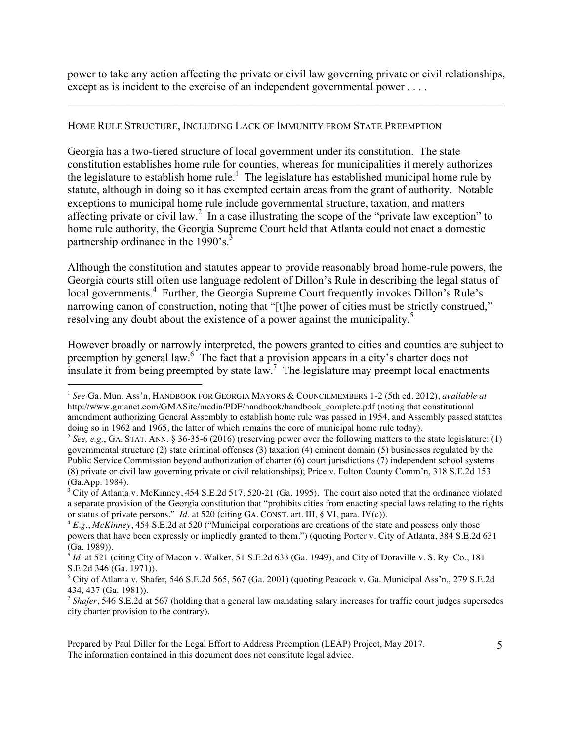power to take any action affecting the private or civil law governing private or civil relationships, except as is incident to the exercise of an independent governmental power . . . .

 $\mathcal{L}_\mathcal{L} = \{ \mathcal{L}_\mathcal{L} = \{ \mathcal{L}_\mathcal{L} = \{ \mathcal{L}_\mathcal{L} = \{ \mathcal{L}_\mathcal{L} = \{ \mathcal{L}_\mathcal{L} = \{ \mathcal{L}_\mathcal{L} = \{ \mathcal{L}_\mathcal{L} = \{ \mathcal{L}_\mathcal{L} = \{ \mathcal{L}_\mathcal{L} = \{ \mathcal{L}_\mathcal{L} = \{ \mathcal{L}_\mathcal{L} = \{ \mathcal{L}_\mathcal{L} = \{ \mathcal{L}_\mathcal{L} = \{ \mathcal{L}_\mathcal{$ 

## HOME RULE STRUCTURE, INCLUDING LACK OF IMMUNITY FROM STATE PREEMPTION

Georgia has a two-tiered structure of local government under its constitution. The state constitution establishes home rule for counties, whereas for municipalities it merely authorizes the legislature to establish home rule.<sup>1</sup> The legislature has established municipal home rule by statute, although in doing so it has exempted certain areas from the grant of authority. Notable exceptions to municipal home rule include governmental structure, taxation, and matters affecting private or civil law.<sup>2</sup> In a case illustrating the scope of the "private law exception" to home rule authority, the Georgia Supreme Court held that Atlanta could not enact a domestic partnership ordinance in the  $1990$ 's.<sup>3</sup>

Although the constitution and statutes appear to provide reasonably broad home-rule powers, the Georgia courts still often use language redolent of Dillon's Rule in describing the legal status of local governments.<sup>4</sup> Further, the Georgia Supreme Court frequently invokes Dillon's Rule's narrowing canon of construction, noting that "[t]he power of cities must be strictly construed," resolving any doubt about the existence of a power against the municipality.<sup>5</sup>

However broadly or narrowly interpreted, the powers granted to cities and counties are subject to preemption by general law.<sup>6</sup> The fact that a provision appears in a city's charter does not insulate it from being preempted by state  $law$ .<sup>7</sup> The legislature may preempt local enactments

 <sup>1</sup> *See* Ga. Mun. Ass'n, HANDBOOK FOR GEORGIA MAYORS & COUNCILMEMBERS 1-2 (5th ed. 2012), *available at*  http://www.gmanet.com/GMASite/media/PDF/handbook/handbook\_complete.pdf (noting that constitutional amendment authorizing General Assembly to establish home rule was passed in 1954, and Assembly passed statutes doing so in 1962 and 1965, the latter of which remains the core of municipal home rule today).

<sup>2</sup> *See, e.g.*, GA. STAT. ANN. § 36-35-6 (2016) (reserving power over the following matters to the state legislature: (1) governmental structure (2) state criminal offenses (3) taxation (4) eminent domain (5) businesses regulated by the Public Service Commission beyond authorization of charter (6) court jurisdictions (7) independent school systems (8) private or civil law governing private or civil relationships); Price v. Fulton County Comm'n, 318 S.E.2d 153 (Ga.App. 1984).

 $3$  City of Atlanta v. McKinney, 454 S.E.2d 517, 520-21 (Ga. 1995). The court also noted that the ordinance violated a separate provision of the Georgia constitution that "prohibits cities from enacting special laws relating to the rights or status of private persons." *Id.* at 520 (citing GA. CONST. art. III, § VI, para. IV(c)).

<sup>4</sup> *E.g.*, *McKinney*, 454 S.E.2d at 520 ("Municipal corporations are creations of the state and possess only those powers that have been expressly or impliedly granted to them.") (quoting Porter v. City of Atlanta, 384 S.E.2d 631 (Ga. 1989)).

<sup>5</sup> *Id.* at 521 (citing City of Macon v. Walker, 51 S.E.2d 633 (Ga. 1949), and City of Doraville v. S. Ry. Co., 181 S.E.2d 346 (Ga. 1971)).

<sup>6</sup> City of Atlanta v. Shafer, 546 S.E.2d 565, 567 (Ga. 2001) (quoting Peacock v. Ga. Municipal Ass'n., 279 S.E.2d 434, 437 (Ga. 1981)).

<sup>7</sup> *Shafer*, 546 S.E.2d at 567 (holding that a general law mandating salary increases for traffic court judges supersedes city charter provision to the contrary).

Prepared by Paul Diller for the Legal Effort to Address Preemption (LEAP) Project, May 2017. The information contained in this document does not constitute legal advice.